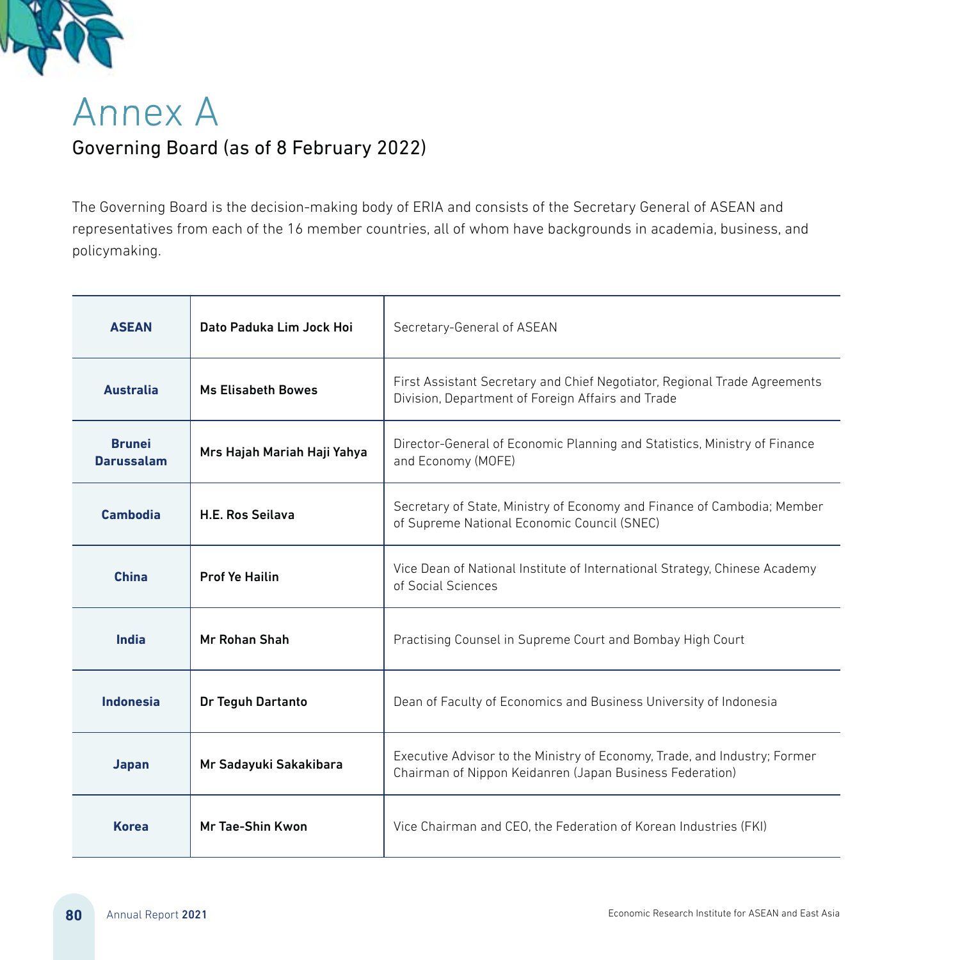

## Annex A Governing Board (as of 8 February 2022)

The Governing Board is the decision-making body of ERIA and consists of the Secretary General of ASEAN and representatives from each of the 16 member countries, all of whom have backgrounds in academia, business, and policymaking.

| <b>ASEAN</b>                       | Dato Paduka Lim Jock Hoi    | Secretary-General of ASEAN                                                                                                            |
|------------------------------------|-----------------------------|---------------------------------------------------------------------------------------------------------------------------------------|
| <b>Australia</b>                   | <b>Ms Elisabeth Bowes</b>   | First Assistant Secretary and Chief Negotiator, Regional Trade Agreements<br>Division, Department of Foreign Affairs and Trade        |
| <b>Brunei</b><br><b>Darussalam</b> | Mrs Hajah Mariah Haji Yahya | Director-General of Economic Planning and Statistics, Ministry of Finance<br>and Economy (MOFE)                                       |
| Cambodia                           | <b>H.E. Ros Seilava</b>     | Secretary of State, Ministry of Economy and Finance of Cambodia; Member<br>of Supreme National Economic Council (SNEC)                |
| <b>China</b>                       | <b>Prof Ye Hailin</b>       | Vice Dean of National Institute of International Strategy, Chinese Academy<br>of Social Sciences                                      |
| India                              | Mr Rohan Shah               | Practising Counsel in Supreme Court and Bombay High Court                                                                             |
| Indonesia                          | Dr Teguh Dartanto           | Dean of Faculty of Economics and Business University of Indonesia                                                                     |
| Japan                              | Mr Sadayuki Sakakibara      | Executive Advisor to the Ministry of Economy, Trade, and Industry; Former<br>Chairman of Nippon Keidanren (Japan Business Federation) |
| <b>Korea</b>                       | Mr Tae-Shin Kwon            | Vice Chairman and CEO, the Federation of Korean Industries (FKI)                                                                      |